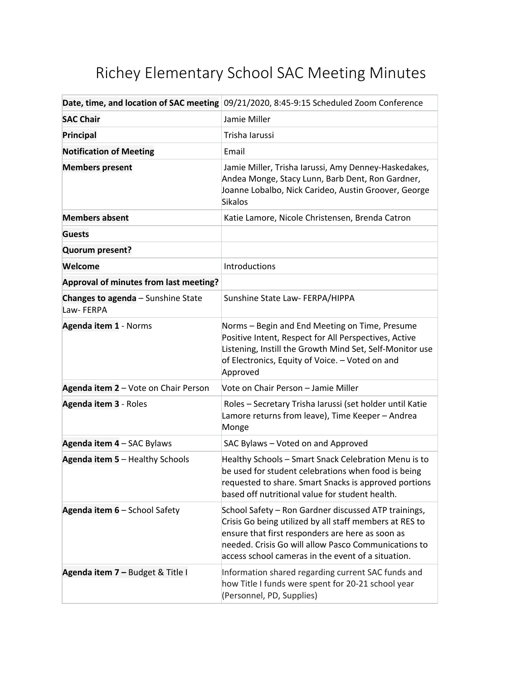## Richey Elementary School SAC Meeting Minutes

|                                                        | Date, time, and location of SAC meeting 09/21/2020, 8:45-9:15 Scheduled Zoom Conference                                                                                                                                                                                           |
|--------------------------------------------------------|-----------------------------------------------------------------------------------------------------------------------------------------------------------------------------------------------------------------------------------------------------------------------------------|
| <b>SAC Chair</b>                                       | Jamie Miller                                                                                                                                                                                                                                                                      |
| Principal                                              | Trisha Iarussi                                                                                                                                                                                                                                                                    |
| <b>Notification of Meeting</b>                         | Email                                                                                                                                                                                                                                                                             |
| <b>Members present</b>                                 | Jamie Miller, Trisha Iarussi, Amy Denney-Haskedakes,<br>Andea Monge, Stacy Lunn, Barb Dent, Ron Gardner,<br>Joanne Lobalbo, Nick Carideo, Austin Groover, George<br><b>Sikalos</b>                                                                                                |
| <b>Members absent</b>                                  | Katie Lamore, Nicole Christensen, Brenda Catron                                                                                                                                                                                                                                   |
| <b>Guests</b>                                          |                                                                                                                                                                                                                                                                                   |
| Quorum present?                                        |                                                                                                                                                                                                                                                                                   |
| Welcome                                                | Introductions                                                                                                                                                                                                                                                                     |
| Approval of minutes from last meeting?                 |                                                                                                                                                                                                                                                                                   |
| <b>Changes to agenda</b> - Sunshine State<br>Law-FERPA | Sunshine State Law- FERPA/HIPPA                                                                                                                                                                                                                                                   |
| Agenda item 1 - Norms                                  | Norms - Begin and End Meeting on Time, Presume<br>Positive Intent, Respect for All Perspectives, Active<br>Listening, Instill the Growth Mind Set, Self-Monitor use<br>of Electronics, Equity of Voice. - Voted on and<br>Approved                                                |
| Agenda item 2 - Vote on Chair Person                   | Vote on Chair Person - Jamie Miller                                                                                                                                                                                                                                               |
| Agenda item 3 - Roles                                  | Roles - Secretary Trisha Iarussi (set holder until Katie<br>Lamore returns from leave), Time Keeper - Andrea<br>Monge                                                                                                                                                             |
| Agenda item 4 - SAC Bylaws                             | SAC Bylaws - Voted on and Approved                                                                                                                                                                                                                                                |
| Agenda item 5 - Healthy Schools                        | Healthy Schools - Smart Snack Celebration Menu is to<br>be used for student celebrations when food is being<br>requested to share. Smart Snacks is approved portions<br>based off nutritional value for student health.                                                           |
| Agenda item 6 - School Safety                          | School Safety - Ron Gardner discussed ATP trainings,<br>Crisis Go being utilized by all staff members at RES to<br>ensure that first responders are here as soon as<br>needed. Crisis Go will allow Pasco Communications to<br>access school cameras in the event of a situation. |
| Agenda item 7 - Budget & Title I                       | Information shared regarding current SAC funds and<br>how Title I funds were spent for 20-21 school year<br>(Personnel, PD, Supplies)                                                                                                                                             |